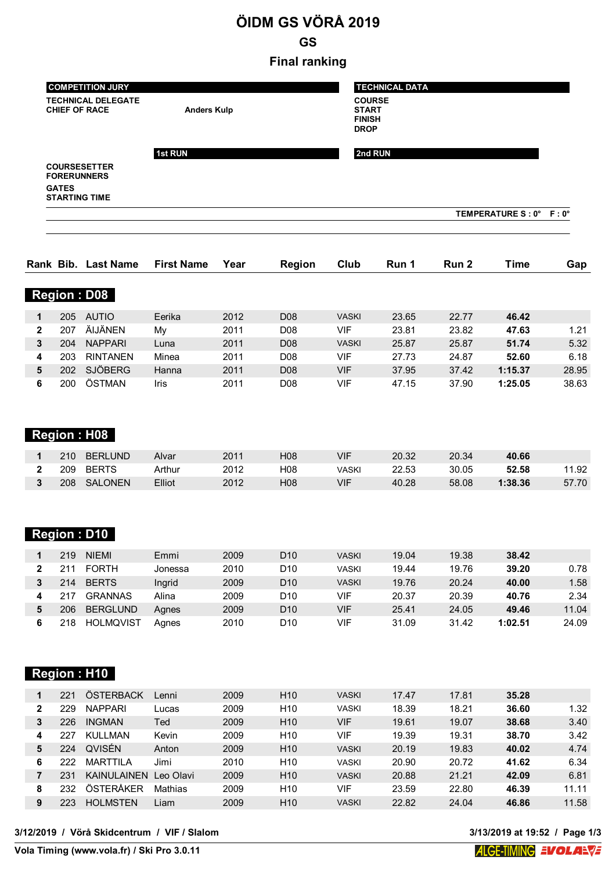# **ÖIDM GS VÖRÅ 2019**

**GS**

### **Final ranking**

|              | <b>COMPETITION JURY</b><br><b>TECHNICAL DELEGATE</b><br><b>CHIEF OF RACE</b><br><b>Anders Kulp</b> |                                                                   |                   |      | <b>TECHNICAL DATA</b><br><b>COURSE</b><br><b>START</b><br><b>FINISH</b><br><b>DROP</b> |              |         |       |                         |       |
|--------------|----------------------------------------------------------------------------------------------------|-------------------------------------------------------------------|-------------------|------|----------------------------------------------------------------------------------------|--------------|---------|-------|-------------------------|-------|
|              | <b>GATES</b>                                                                                       | <b>COURSESETTER</b><br><b>FORERUNNERS</b><br><b>STARTING TIME</b> | 1st RUN           |      |                                                                                        |              | 2nd RUN |       | TEMPERATURE S: 0° F: 0° |       |
|              |                                                                                                    | Rank Bib. Last Name                                               | <b>First Name</b> | Year | Region                                                                                 | Club         | Run 1   | Run 2 | <b>Time</b>             | Gap   |
|              |                                                                                                    | <b>Region: D08</b>                                                |                   |      |                                                                                        |              |         |       |                         |       |
| $\mathbf{1}$ | 205                                                                                                | <b>AUTIO</b>                                                      | Eerika            | 2012 | D <sub>08</sub>                                                                        | <b>VASKI</b> | 23.65   | 22.77 | 46.42                   |       |
| $\mathbf{2}$ | 207                                                                                                | ÄIJÄNEN                                                           | My                | 2011 | D <sub>08</sub>                                                                        | <b>VIF</b>   | 23.81   | 23.82 | 47.63                   | 1.21  |
| 3            | 204                                                                                                | <b>NAPPARI</b>                                                    | Luna              | 2011 | D <sub>08</sub>                                                                        | <b>VASKI</b> | 25.87   | 25.87 | 51.74                   | 5.32  |
| 4            | 203                                                                                                | <b>RINTANEN</b>                                                   | Minea             | 2011 | D <sub>08</sub>                                                                        | <b>VIF</b>   | 27.73   | 24.87 | 52.60                   | 6.18  |
| 5            | 202                                                                                                | <b>SJÖBERG</b>                                                    | Hanna             | 2011 | D <sub>08</sub>                                                                        | <b>VIF</b>   | 37.95   | 37.42 | 1:15.37                 | 28.95 |
| 6            | 200                                                                                                | ÖSTMAN                                                            | Iris              | 2011 | D <sub>08</sub>                                                                        | <b>VIF</b>   | 47.15   | 37.90 | 1:25.05                 | 38.63 |

|--|

| 210 | <b>BERLUND</b> | Alvar  | 2011 | H08              | VIF   | 20.32 | 20.34 | 40.66   |       |
|-----|----------------|--------|------|------------------|-------|-------|-------|---------|-------|
| 209 | <b>BERTS</b>   | Arthur | 2012 | H <sub>0</sub> 8 | √ASKI | 22.53 | 30.05 | 52.58   | 11.92 |
| 208 | SALONEN        | Elliot | 2012 | H08              | VIF   | 40.28 | 58.08 | 1:38.36 | 57.70 |

## **Region : D10**

| 219 | <b>NIFMI</b>     | Emmi    | 2009 | D <sub>10</sub> | <b>VASKI</b> | 19.04 | 19.38 | 38.42   |       |
|-----|------------------|---------|------|-----------------|--------------|-------|-------|---------|-------|
| 211 | <b>FORTH</b>     | Jonessa | 2010 | D10             | VASKI        | 19.44 | 19.76 | 39.20   | 0.78  |
| 214 | <b>BERTS</b>     | Inarid  | 2009 | D10             | VASKI        | 19.76 | 20.24 | 40.00   | 1.58  |
| 217 | <b>GRANNAS</b>   | Alina   | 2009 | D10             | VIF          | 20.37 | 20.39 | 40.76   | 2.34  |
| 206 | <b>BERGLUND</b>  | Aanes   | 2009 | D <sub>10</sub> | VIF          | 25.41 | 24.05 | 49.46   | 11.04 |
| 218 | <b>HOLMQVIST</b> | Aanes   | 2010 | D10             | VIF          | 31.09 | 31.42 | 1:02.51 | 24.09 |

## **Region : H10**

|   | 221 | ÖSTERBACK          | Lenni     | 2009 | H <sub>10</sub> | <b>VASKI</b> | 17.47 | 17.81 | 35.28 |       |
|---|-----|--------------------|-----------|------|-----------------|--------------|-------|-------|-------|-------|
| 2 | 229 | <b>NAPPARI</b>     | Lucas     | 2009 | H <sub>10</sub> | VASKI        | 18.39 | 18.21 | 36.60 | 1.32  |
| 3 | 226 | <b>INGMAN</b>      | Ted       | 2009 | H <sub>10</sub> | VIF          | 19.61 | 19.07 | 38.68 | 3.40  |
| 4 | 227 | <b>KULLMAN</b>     | Kevin     | 2009 | H <sub>10</sub> | VIF          | 19.39 | 19.31 | 38.70 | 3.42  |
| 5 | 224 | QVISÉN             | Anton     | 2009 | H <sub>10</sub> | <b>VASKI</b> | 20.19 | 19.83 | 40.02 | 4.74  |
| 6 | 222 | <b>MARTTII A</b>   | Jimi      | 2010 | H <sub>10</sub> | <b>VASKI</b> | 20.90 | 20.72 | 41.62 | 6.34  |
|   | 231 | <b>KAINULAINEN</b> | Leo Olavi | 2009 | H <sub>10</sub> | <b>VASKI</b> | 20.88 | 21.21 | 42.09 | 6.81  |
| 8 | 232 | ÖSTERÅKER          | Mathias   | 2009 | H <sub>10</sub> | VIF          | 23.59 | 22.80 | 46.39 | 11.11 |
| 9 | 223 | <b>HOLMSTEN</b>    | Liam      | 2009 | H <sub>10</sub> | <b>VASKI</b> | 22.82 | 24.04 | 46.86 | 11.58 |
|   |     |                    |           |      |                 |              |       |       |       |       |

**3/12/2019 / Vörå Skidcentrum / VIF / Slalom 3/13/2019 at 19:52 / Page 1/3**

**Vola Timing (www.vola.fr) / Ski Pro 3.0.11**

**Volta 3/13/2019 at 19:52 / Page 1/3<br><b>ALGE-HMING EVOLAEVE**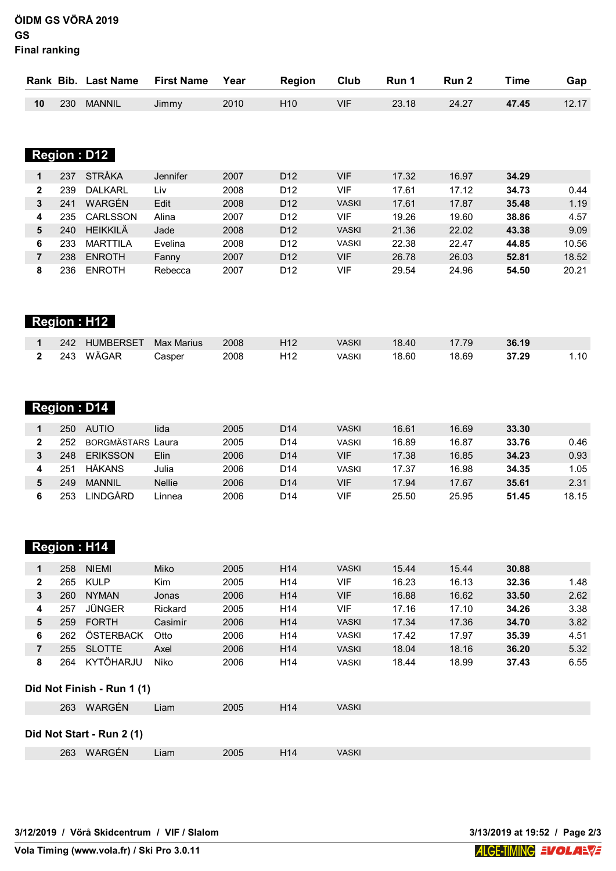**ÖIDM GS VÖRÅ 2019 GS Final ranking**

|    |     | Rank Bib. Last Name | <b>First Name</b> | Year | Region          | Club | Run 1 | Run 2 | Time  | Gap   |
|----|-----|---------------------|-------------------|------|-----------------|------|-------|-------|-------|-------|
|    |     |                     |                   |      |                 |      |       |       |       |       |
| 10 | 230 | <b>MANNIL</b>       | Jimmy             | 2010 | H <sub>10</sub> | VIF  | 23.18 | 24.27 | 47.45 | 12.17 |

| $\blacksquare$ : D<br>1 m j<br>lon<br>۹ı<br>œ<br>Ш |
|----------------------------------------------------|
|----------------------------------------------------|

|   | 237 | <b>STRÅKA</b>    | Jennifer | 2007 | D <sub>12</sub> | VIF          | 17.32 | 16.97 | 34.29 |       |
|---|-----|------------------|----------|------|-----------------|--------------|-------|-------|-------|-------|
| 2 | 239 | <b>DALKARL</b>   | Liv      | 2008 | D <sub>12</sub> | VIF          | 17.61 | 17.12 | 34.73 | 0.44  |
| 3 | 241 | WARGÉN           | Edit     | 2008 | D <sub>12</sub> | <b>VASKI</b> | 17.61 | 17.87 | 35.48 | 1.19  |
| 4 | 235 | <b>CARLSSON</b>  | Alina    | 2007 | D <sub>12</sub> | VIF          | 19.26 | 19.60 | 38.86 | 4.57  |
| 5 | 240 | <b>HFIKKII Ä</b> | Jade     | 2008 | D <sub>12</sub> | <b>VASKI</b> | 21.36 | 22.02 | 43.38 | 9.09  |
| 6 | 233 | <b>MARTTII A</b> | Evelina  | 2008 | D <sub>12</sub> | VASKI        | 22.38 | 22.47 | 44.85 | 10.56 |
|   | 238 | <b>ENROTH</b>    | Fanny    | 2007 | D <sub>12</sub> | VIF          | 26.78 | 26.03 | 52.81 | 18.52 |
| 8 | 236 | <b>FNROTH</b>    | Rebecca  | 2007 | D <sub>12</sub> | VIF          | 29.54 | 24.96 | 54.50 | 20.21 |

| Region : H12 |     |           |            |      |                 |              |       |       |       |      |
|--------------|-----|-----------|------------|------|-----------------|--------------|-------|-------|-------|------|
|              | 242 | HUMBERSET | Max Marius | 2008 | H <sub>12</sub> | <b>VASKI</b> | 18.40 | 17.79 | 36.19 |      |
|              | 243 | WÄGAR     | Casper     | 2008 | H12             | VASKI        | 18.60 | 18.69 | 37.29 | 1.10 |

## **Region : D14**

| 250 | <b>AUTIO</b>       | lida          | 2005 | D <sub>14</sub> | <b>VASKI</b> | 16.61 | 16.69 | 33.30 |       |
|-----|--------------------|---------------|------|-----------------|--------------|-------|-------|-------|-------|
| 252 | BORGMÄSTARS   aura |               | 2005 | D14             | VASKI        | 16.89 | 16.87 | 33.76 | 0.46  |
| 248 | <b>ERIKSSON</b>    | Elin          | 2006 | D <sub>14</sub> | VIF          | 17.38 | 16.85 | 34.23 | 0.93  |
| 251 | <b>HÅKANS</b>      | Julia         | 2006 | D14             | <b>VASKI</b> | 17.37 | 16.98 | 34.35 | 1.05  |
| 249 | <b>MANNIL</b>      | <b>Nellie</b> | 2006 | D <sub>14</sub> | VIF          | 17.94 | 17.67 | 35.61 | 2.31  |
| 253 | <b>INDGÄRD</b>     | Linnea        | 2006 | D14             | VIF          | 25.50 | 25.95 | 51.45 | 18.15 |

#### **Region : H14**

|   | 258 | <b>NIEMI</b>  | Miko    | 2005 | H <sub>14</sub> | <b>VASKI</b> | 15.44 | 15.44 | 30.88 |      |
|---|-----|---------------|---------|------|-----------------|--------------|-------|-------|-------|------|
| 2 | 265 | <b>KULP</b>   | Kim     | 2005 | H <sub>14</sub> | VIF          | 16.23 | 16.13 | 32.36 | 1.48 |
| 3 | 260 | <b>NYMAN</b>  | Jonas   | 2006 | H <sub>14</sub> | VIF          | 16.88 | 16.62 | 33.50 | 2.62 |
| 4 | 257 | JÜNGER        | Rickard | 2005 | H <sub>14</sub> | VIF          | 17.16 | 17.10 | 34.26 | 3.38 |
| 5 | 259 | <b>FORTH</b>  | Casimir | 2006 | H <sub>14</sub> | <b>VASKI</b> | 17.34 | 17.36 | 34.70 | 3.82 |
| 6 | 262 | ÖSTERBACK     | Otto    | 2006 | H <sub>14</sub> | <b>VASKI</b> | 17.42 | 17.97 | 35.39 | 4.51 |
|   | 255 | <b>SLOTTE</b> | Axel    | 2006 | H <sub>14</sub> | <b>VASKI</b> | 18.04 | 18.16 | 36.20 | 5.32 |
| 8 | 264 | KYTÖHARJU     | Niko    | 2006 | H <sub>14</sub> | <b>VASKI</b> | 18.44 | 18.99 | 37.43 | 6.55 |

#### **Did Not Finish - Run 1 (1)**

| 263 WARGÉN                | Liam | 2005 | H <sub>14</sub> | <b>VASKI</b> |
|---------------------------|------|------|-----------------|--------------|
| Did Not Start - Run 2 (1) |      |      |                 |              |

|  | 263 WARGÉN | ∟iam | 2005 | H <sub>14</sub> | <b>VASKI</b> |
|--|------------|------|------|-----------------|--------------|
|--|------------|------|------|-----------------|--------------|